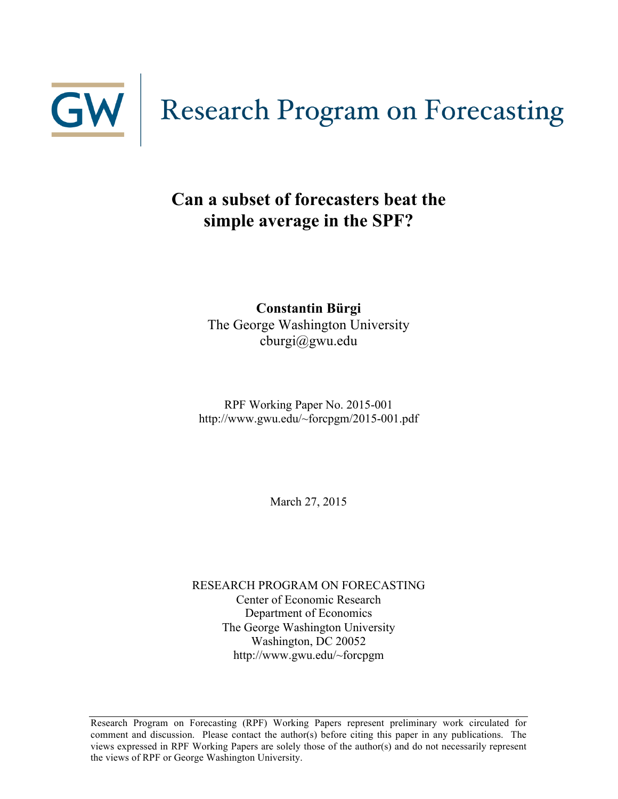

### **Can a subset of forecasters beat the simple average in the SPF?**

**Constantin Bürgi** The George Washington University cburgi@gwu.edu

RPF Working Paper No. 2015-001 http://www.gwu.edu/~forcpgm/2015-001.pdf

March 27, 2015

RESEARCH PROGRAM ON FORECASTING Center of Economic Research Department of Economics The George Washington University Washington, DC 20052 http://www.gwu.edu/~forcpgm

Research Program on Forecasting (RPF) Working Papers represent preliminary work circulated for comment and discussion. Please contact the author(s) before citing this paper in any publications. The views expressed in RPF Working Papers are solely those of the author(s) and do not necessarily represent the views of RPF or George Washington University.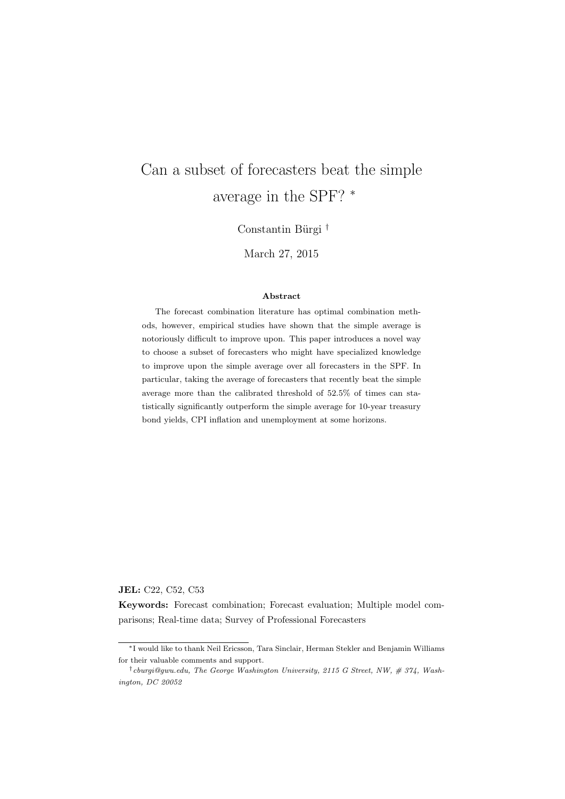# Can a subset of forecasters beat the simple average in the SPF?  $^\ast$

Constantin Bürgi <sup>†</sup>

March 27, 2015

#### Abstract

The forecast combination literature has optimal combination methods, however, empirical studies have shown that the simple average is notoriously difficult to improve upon. This paper introduces a novel way to choose a subset of forecasters who might have specialized knowledge to improve upon the simple average over all forecasters in the SPF. In particular, taking the average of forecasters that recently beat the simple average more than the calibrated threshold of 52.5% of times can statistically significantly outperform the simple average for 10-year treasury bond yields, CPI inflation and unemployment at some horizons.

JEL: C22, C52, C53

Keywords: Forecast combination; Forecast evaluation; Multiple model comparisons; Real-time data; Survey of Professional Forecasters

<sup>⇤</sup>I would like to thank Neil Ericsson, Tara Sinclair, Herman Stekler and Benjamin Williams for their valuable comments and support.

*<sup>†</sup>cburgi@gwu.edu, The George Washington University, 2115 G Street, NW, # 374, Washington, DC 20052*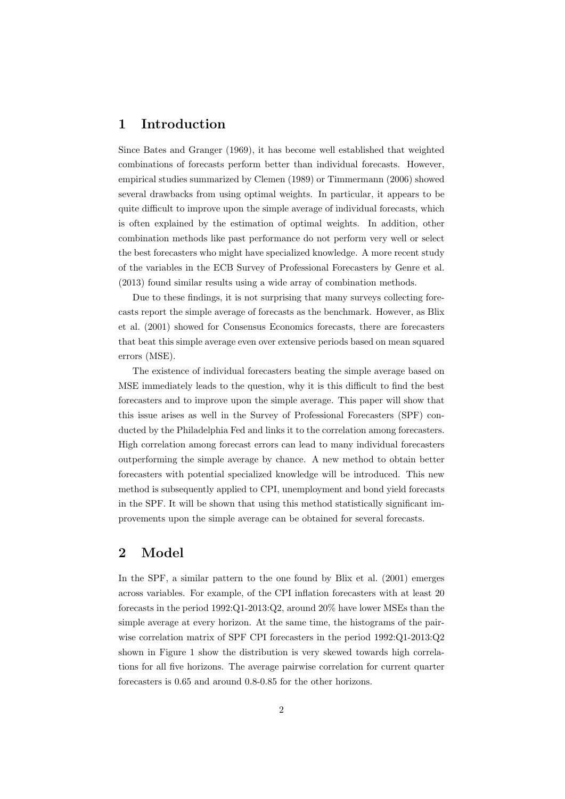#### 1 Introduction

Since Bates and Granger (1969), it has become well established that weighted combinations of forecasts perform better than individual forecasts. However, empirical studies summarized by Clemen (1989) or Timmermann (2006) showed several drawbacks from using optimal weights. In particular, it appears to be quite difficult to improve upon the simple average of individual forecasts, which is often explained by the estimation of optimal weights. In addition, other combination methods like past performance do not perform very well or select the best forecasters who might have specialized knowledge. A more recent study of the variables in the ECB Survey of Professional Forecasters by Genre et al. (2013) found similar results using a wide array of combination methods.

Due to these findings, it is not surprising that many surveys collecting forecasts report the simple average of forecasts as the benchmark. However, as Blix et al. (2001) showed for Consensus Economics forecasts, there are forecasters that beat this simple average even over extensive periods based on mean squared errors (MSE).

The existence of individual forecasters beating the simple average based on MSE immediately leads to the question, why it is this difficult to find the best forecasters and to improve upon the simple average. This paper will show that this issue arises as well in the Survey of Professional Forecasters (SPF) conducted by the Philadelphia Fed and links it to the correlation among forecasters. High correlation among forecast errors can lead to many individual forecasters outperforming the simple average by chance. A new method to obtain better forecasters with potential specialized knowledge will be introduced. This new method is subsequently applied to CPI, unemployment and bond yield forecasts in the SPF. It will be shown that using this method statistically significant improvements upon the simple average can be obtained for several forecasts.

#### 2 Model

In the SPF, a similar pattern to the one found by Blix et al. (2001) emerges across variables. For example, of the CPI inflation forecasters with at least 20 forecasts in the period 1992:Q1-2013:Q2, around 20% have lower MSEs than the simple average at every horizon. At the same time, the histograms of the pairwise correlation matrix of SPF CPI forecasters in the period 1992:Q1-2013:Q2 shown in Figure 1 show the distribution is very skewed towards high correlations for all five horizons. The average pairwise correlation for current quarter forecasters is 0.65 and around 0.8-0.85 for the other horizons.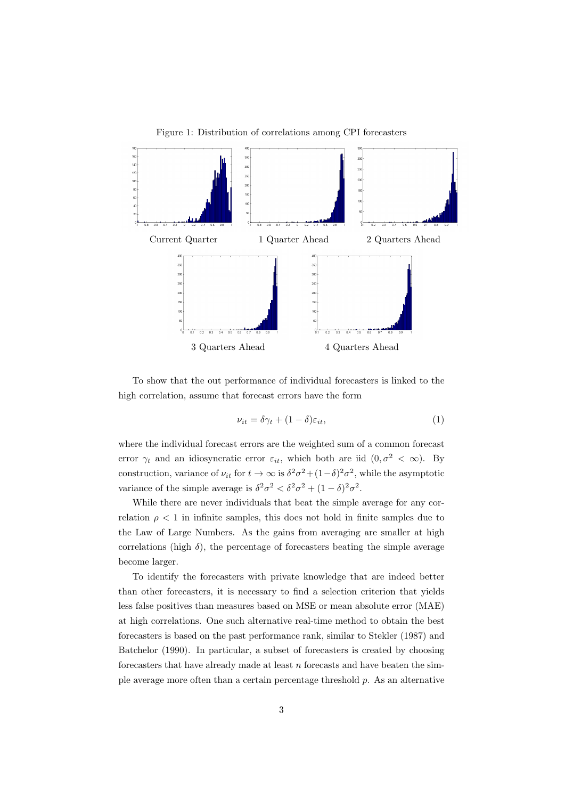

Figure 1: Distribution of correlations among CPI forecasters

To show that the out performance of individual forecasters is linked to the high correlation, assume that forecast errors have the form

$$
\nu_{it} = \delta \gamma_t + (1 - \delta) \varepsilon_{it}, \tag{1}
$$

where the individual forecast errors are the weighted sum of a common forecast error  $\gamma_t$  and an idiosyncratic error  $\varepsilon_{it}$ , which both are iid  $(0, \sigma^2 < \infty)$ . By construction, variance of  $\nu_{it}$  for  $t \to \infty$  is  $\delta^2 \sigma^2 + (1-\delta)^2 \sigma^2$ , while the asymptotic variance of the simple average is  $\delta^2 \sigma^2 < \delta^2 \sigma^2 + (1 - \delta)^2 \sigma^2$ .

While there are never individuals that beat the simple average for any correlation  $\rho < 1$  in infinite samples, this does not hold in finite samples due to the Law of Large Numbers. As the gains from averaging are smaller at high correlations (high  $\delta$ ), the percentage of forecasters beating the simple average become larger.

To identify the forecasters with private knowledge that are indeed better than other forecasters, it is necessary to find a selection criterion that yields less false positives than measures based on MSE or mean absolute error (MAE) at high correlations. One such alternative real-time method to obtain the best forecasters is based on the past performance rank, similar to Stekler (1987) and Batchelor (1990). In particular, a subset of forecasters is created by choosing forecasters that have already made at least *n* forecasts and have beaten the simple average more often than a certain percentage threshold *p*. As an alternative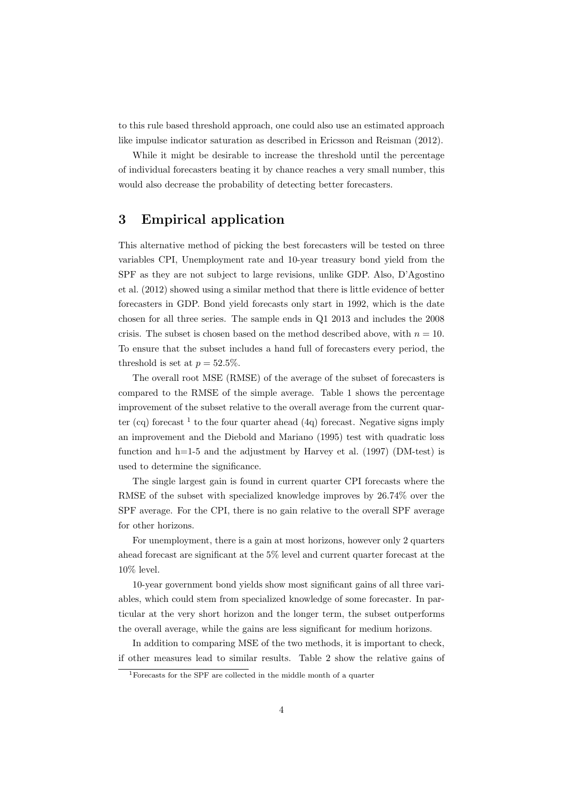to this rule based threshold approach, one could also use an estimated approach like impulse indicator saturation as described in Ericsson and Reisman (2012).

While it might be desirable to increase the threshold until the percentage of individual forecasters beating it by chance reaches a very small number, this would also decrease the probability of detecting better forecasters.

#### 3 Empirical application

This alternative method of picking the best forecasters will be tested on three variables CPI, Unemployment rate and 10-year treasury bond yield from the SPF as they are not subject to large revisions, unlike GDP. Also, D'Agostino et al. (2012) showed using a similar method that there is little evidence of better forecasters in GDP. Bond yield forecasts only start in 1992, which is the date chosen for all three series. The sample ends in Q1 2013 and includes the 2008 crisis. The subset is chosen based on the method described above, with  $n = 10$ . To ensure that the subset includes a hand full of forecasters every period, the threshold is set at  $p = 52.5\%$ .

The overall root MSE (RMSE) of the average of the subset of forecasters is compared to the RMSE of the simple average. Table 1 shows the percentage improvement of the subset relative to the overall average from the current quarter (cq) forecast  $1$  to the four quarter ahead (4q) forecast. Negative signs imply an improvement and the Diebold and Mariano (1995) test with quadratic loss function and h=1-5 and the adjustment by Harvey et al.  $(1997)$  (DM-test) is used to determine the significance.

The single largest gain is found in current quarter CPI forecasts where the RMSE of the subset with specialized knowledge improves by 26.74% over the SPF average. For the CPI, there is no gain relative to the overall SPF average for other horizons.

For unemployment, there is a gain at most horizons, however only 2 quarters ahead forecast are significant at the 5% level and current quarter forecast at the 10% level.

10-year government bond yields show most significant gains of all three variables, which could stem from specialized knowledge of some forecaster. In particular at the very short horizon and the longer term, the subset outperforms the overall average, while the gains are less significant for medium horizons.

In addition to comparing MSE of the two methods, it is important to check, if other measures lead to similar results. Table 2 show the relative gains of

<sup>1</sup>Forecasts for the SPF are collected in the middle month of a quarter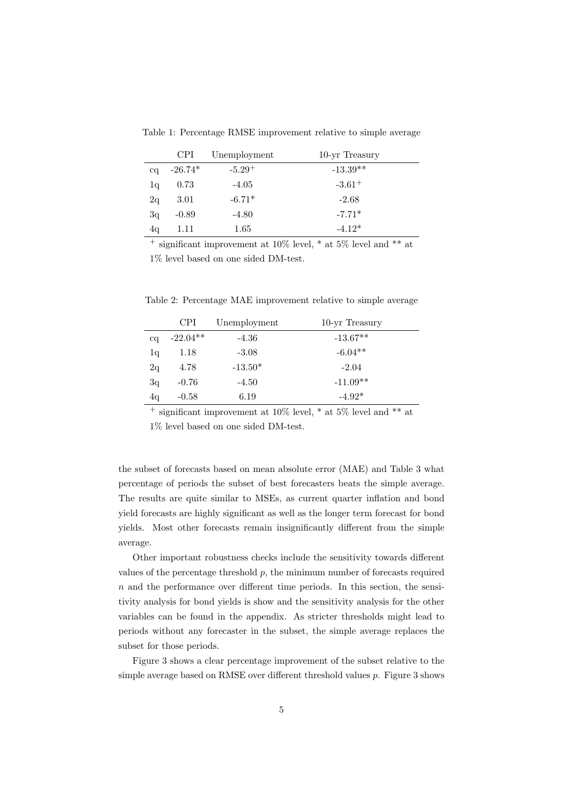Table 1: Percentage RMSE improvement relative to simple average

|             | <b>CPI</b> | Unemployment | 10-yr Treasury       |
|-------------|------------|--------------|----------------------|
| $_{\rm cq}$ | $-26.74*$  | $-5.29^{+}$  | $-13.39**$           |
| 1q          | 0.73       | $-4.05$      | $-3.61$ <sup>+</sup> |
| 2q          | 3.01       | $-6.71*$     | $-2.68$              |
| 3q          | $-0.89$    | $-4.80$      | $-7.71*$             |
| 4q          | 1.11       | 1.65         | $-4.12*$             |

<sup>+</sup> significant improvement at 10% level,  $*$  at 5% level and  $**$  at 1% level based on one sided DM-test.

Table 2: Percentage MAE improvement relative to simple average

|              | <b>CPI</b> | Unemployment | 10-yr Treasury |
|--------------|------------|--------------|----------------|
| $_{\rm{cq}}$ | $-22.04**$ | $-4.36$      | $-13.67**$     |
| lq           | 1.18       | $-3.08$      | $-6.04**$      |
| 2q           | 4.78       | $-13.50*$    | $-2.04$        |
| 3q           | $-0.76$    | $-4.50$      | $-11.09**$     |
| 4q           | $-0.58$    | 6.19         | $-4.92*$       |

 $+\frac{1}{2}$  significant improvement at 10% level,  $*$  at 5% level and  $**$  at 1% level based on one sided DM-test.

the subset of forecasts based on mean absolute error (MAE) and Table 3 what percentage of periods the subset of best forecasters beats the simple average. The results are quite similar to MSEs, as current quarter inflation and bond yield forecasts are highly significant as well as the longer term forecast for bond yields. Most other forecasts remain insignificantly different from the simple average.

Other important robustness checks include the sensitivity towards different values of the percentage threshold *p*, the minimum number of forecasts required  $n$  and the performance over different time periods. In this section, the sensitivity analysis for bond yields is show and the sensitivity analysis for the other variables can be found in the appendix. As stricter thresholds might lead to periods without any forecaster in the subset, the simple average replaces the subset for those periods.

Figure 3 shows a clear percentage improvement of the subset relative to the simple average based on RMSE over different threshold values  $p$ . Figure 3 shows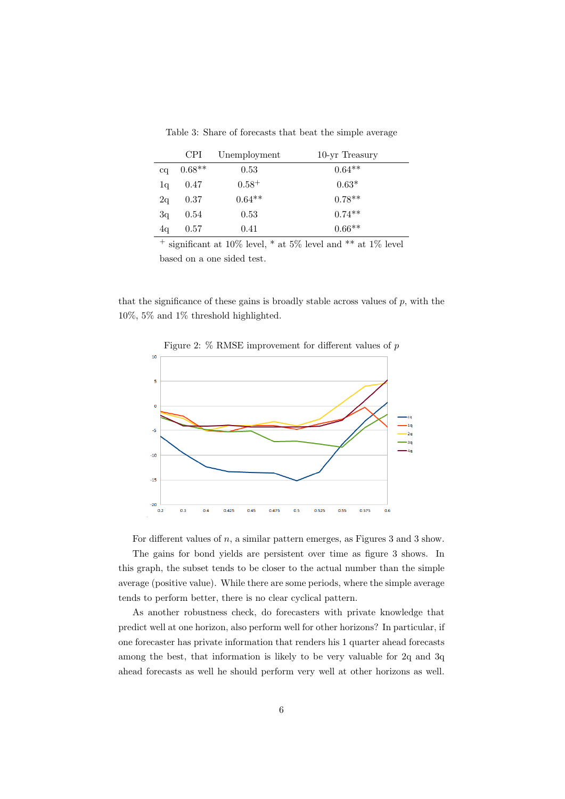|              | <b>CPI</b> | Unemployment | 10-yr Treasury |
|--------------|------------|--------------|----------------|
| $_{\rm{cq}}$ | $0.68**$   | 0.53         | $0.64**$       |
| lq           | 0.47       | $0.58^{+}$   | $0.63*$        |
| 2q           | 0.37       | $0.64**$     | $0.78**$       |
| 3q           | 0.54       | 0.53         | $0.74***$      |
| 4q           | 0.57       | 0.41         | $0.66**$       |

Table 3: Share of forecasts that beat the simple average

<sup>+</sup> significant at 10% level,  $*$  at 5% level and  $**$  at 1% level based on a one sided test.

that the significance of these gains is broadly stable across values of  $p$ , with the 10%, 5% and 1% threshold highlighted.



Figure 2:  $\%$  RMSE improvement for different values of  $p$ 

For different values of  $n$ , a similar pattern emerges, as Figures 3 and 3 show. The gains for bond yields are persistent over time as figure 3 shows. In this graph, the subset tends to be closer to the actual number than the simple average (positive value). While there are some periods, where the simple average tends to perform better, there is no clear cyclical pattern.

As another robustness check, do forecasters with private knowledge that predict well at one horizon, also perform well for other horizons? In particular, if one forecaster has private information that renders his 1 quarter ahead forecasts among the best, that information is likely to be very valuable for 2q and 3q ahead forecasts as well he should perform very well at other horizons as well.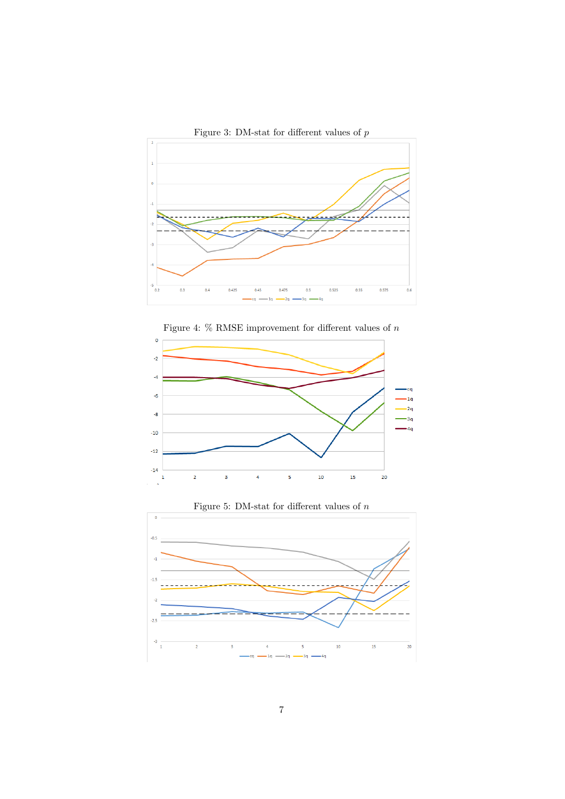

Figure 3: DM-stat for different values of  $p$ 







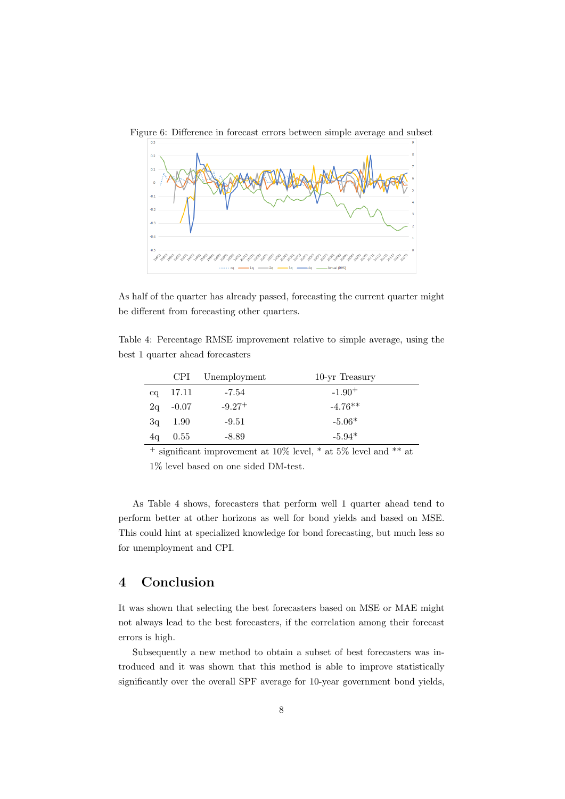

Figure 6: Difference in forecast errors between simple average and subset

As half of the quarter has already passed, forecasting the current quarter might be different from forecasting other quarters.

Table 4: Percentage RMSE improvement relative to simple average, using the best 1 quarter ahead forecasters

|    |         | CPI Unemployment | 10-yr Treasury |
|----|---------|------------------|----------------|
| ca | 17.11   | -7.54            | $-1.90+$       |
| 2q | $-0.07$ | $-9.27+$         | $-4.76**$      |
| 3q | 1.90    | $-9.51$          | $-5.06*$       |
| 4q | 0.55    | -8.89            | $-5.94*$       |

<sup>+</sup> significant improvement at 10% level, \* at 5% level and \*\* at

1% level based on one sided DM-test.

As Table 4 shows, forecasters that perform well 1 quarter ahead tend to perform better at other horizons as well for bond yields and based on MSE. This could hint at specialized knowledge for bond forecasting, but much less so for unemployment and CPI.

### 4 Conclusion

It was shown that selecting the best forecasters based on MSE or MAE might not always lead to the best forecasters, if the correlation among their forecast errors is high.

Subsequently a new method to obtain a subset of best forecasters was introduced and it was shown that this method is able to improve statistically significantly over the overall SPF average for 10-year government bond yields,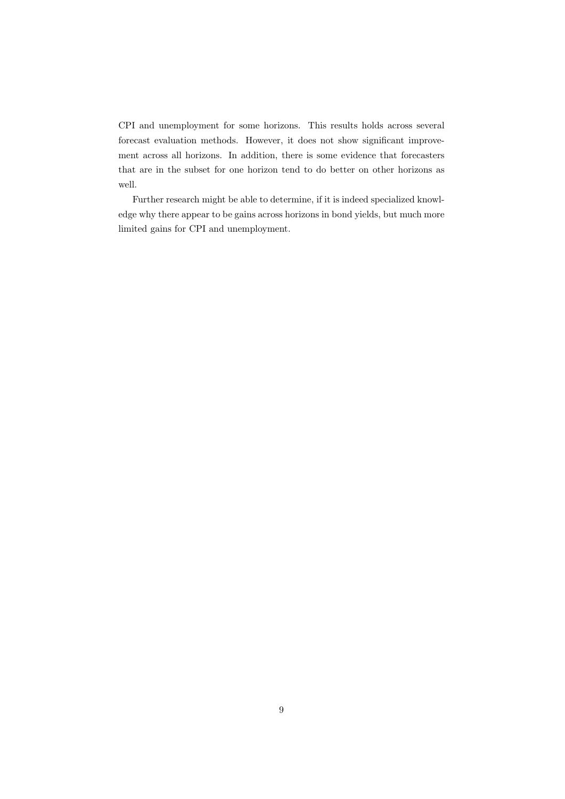CPI and unemployment for some horizons. This results holds across several forecast evaluation methods. However, it does not show significant improvement across all horizons. In addition, there is some evidence that forecasters that are in the subset for one horizon tend to do better on other horizons as well.

Further research might be able to determine, if it is indeed specialized knowledge why there appear to be gains across horizons in bond yields, but much more limited gains for CPI and unemployment.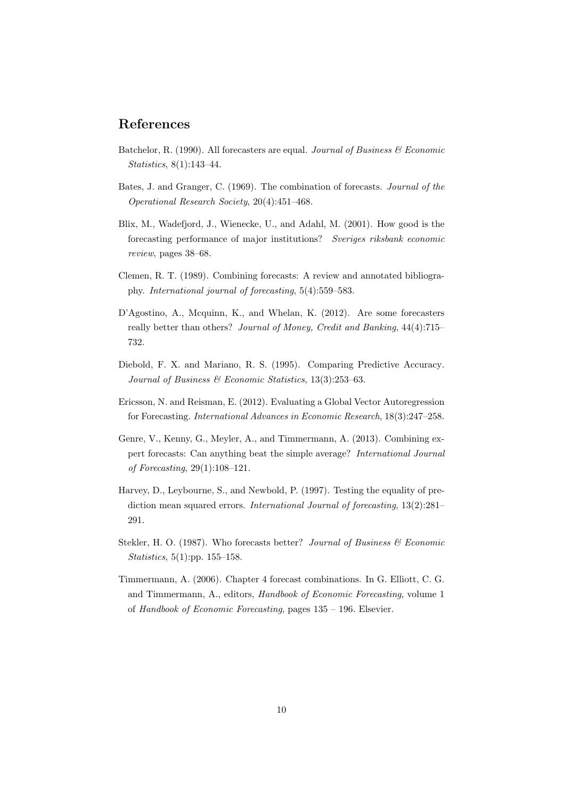#### References

- Batchelor, R. (1990). All forecasters are equal. *Journal of Business & Economic Statistics*, 8(1):143–44.
- Bates, J. and Granger, C. (1969). The combination of forecasts. *Journal of the Operational Research Society*, 20(4):451–468.
- Blix, M., Wadefjord, J., Wienecke, U., and Adahl, M. (2001). How good is the forecasting performance of major institutions? *Sveriges riksbank economic review*, pages 38–68.
- Clemen, R. T. (1989). Combining forecasts: A review and annotated bibliography. *International journal of forecasting*, 5(4):559–583.
- D'Agostino, A., Mcquinn, K., and Whelan, K. (2012). Are some forecasters really better than others? *Journal of Money, Credit and Banking*, 44(4):715– 732.
- Diebold, F. X. and Mariano, R. S. (1995). Comparing Predictive Accuracy. *Journal of Business & Economic Statistics*, 13(3):253–63.
- Ericsson, N. and Reisman, E. (2012). Evaluating a Global Vector Autoregression for Forecasting. *International Advances in Economic Research*, 18(3):247–258.
- Genre, V., Kenny, G., Meyler, A., and Timmermann, A. (2013). Combining expert forecasts: Can anything beat the simple average? *International Journal of Forecasting*, 29(1):108–121.
- Harvey, D., Leybourne, S., and Newbold, P. (1997). Testing the equality of prediction mean squared errors. *International Journal of forecasting*, 13(2):281– 291.
- Stekler, H. O. (1987). Who forecasts better? *Journal of Business & Economic Statistics*, 5(1):pp. 155–158.
- Timmermann, A. (2006). Chapter 4 forecast combinations. In G. Elliott, C. G. and Timmermann, A., editors, *Handbook of Economic Forecasting*, volume 1 of *Handbook of Economic Forecasting*, pages 135 – 196. Elsevier.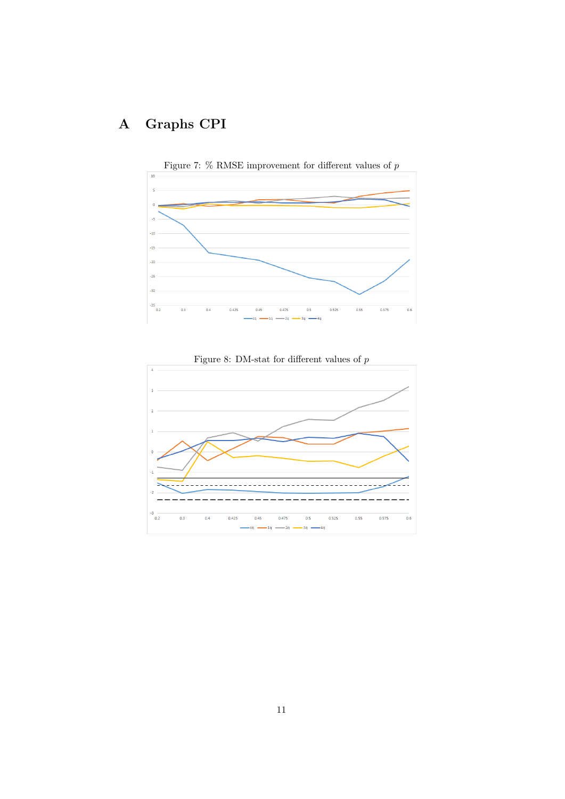## A Graphs CPI





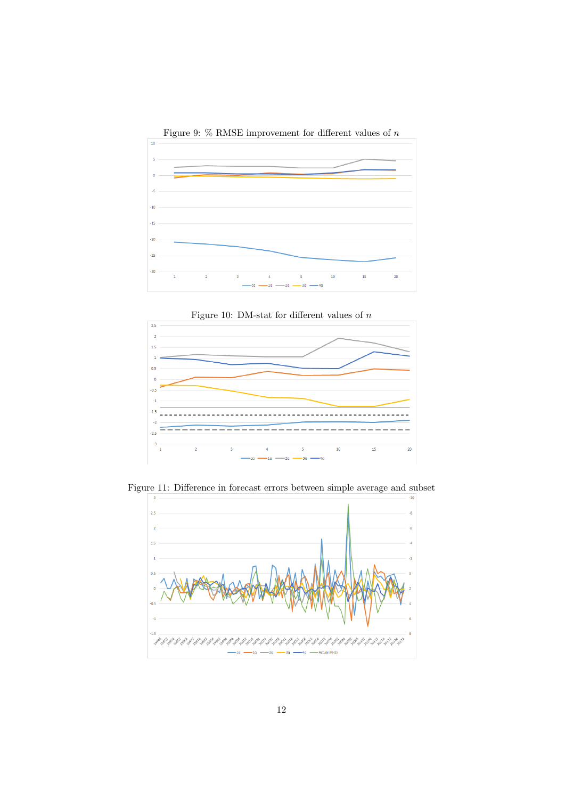



Figure 11: Difference in forecast errors between simple average and subset

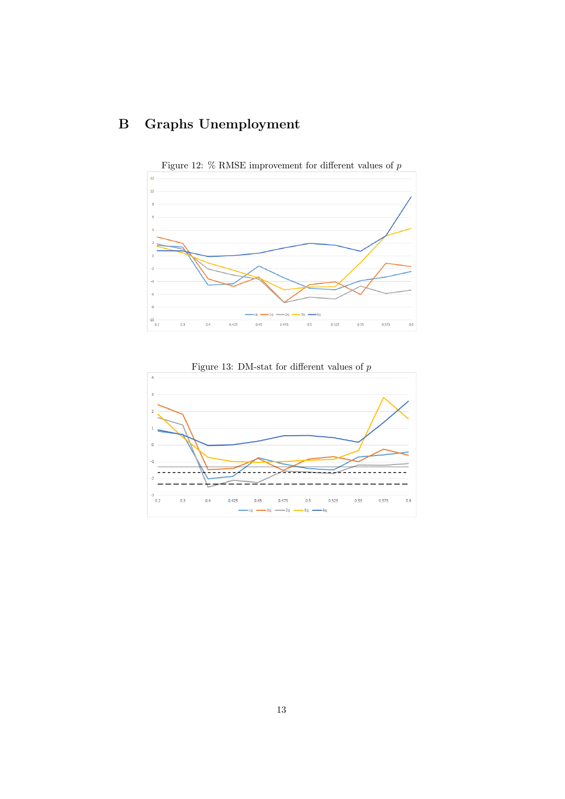## B Graphs Unemployment



Figure 12:  $\%$  RMSE improvement for different values of  $p$